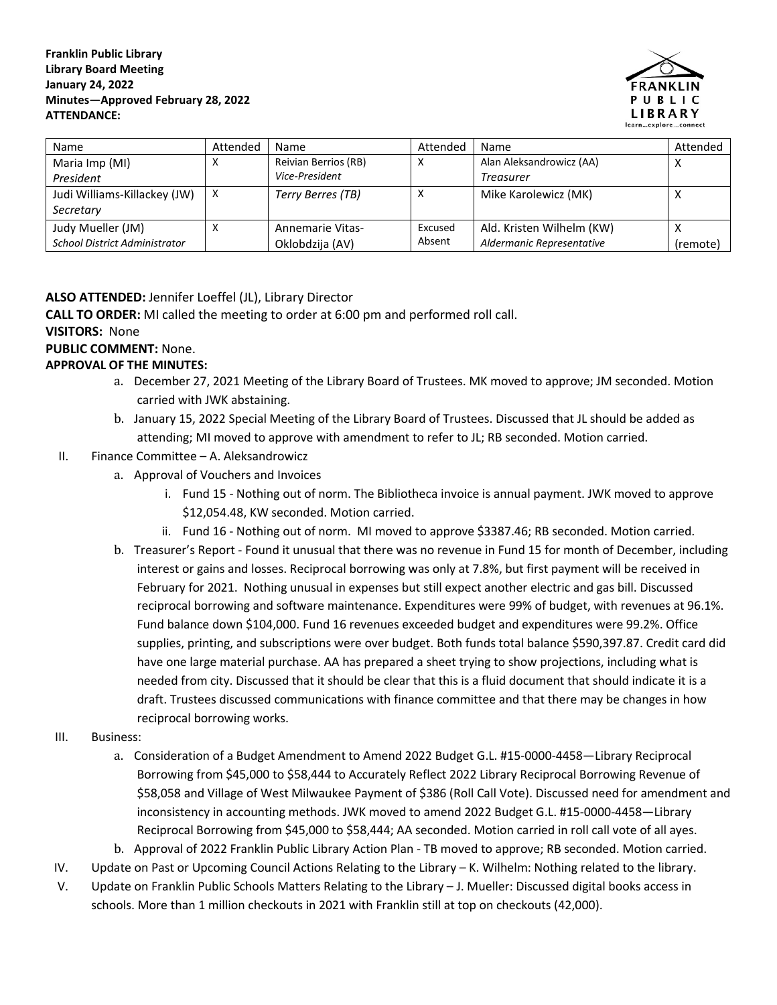#### **Franklin Public Library Library Board Meeting January 24, 2022 Minutes—Approved February 28, 2022 ATTENDANCE:**



| Name                                 | Attended | Name                    | Attended | Name                      | Attended |
|--------------------------------------|----------|-------------------------|----------|---------------------------|----------|
| Maria Imp (MI)                       | χ        | Reivian Berrios (RB)    |          | Alan Aleksandrowicz (AA)  |          |
| President                            |          | Vice-President          |          | Treasurer                 |          |
| Judi Williams-Killackey (JW)         | X        | Terry Berres (TB)       |          | Mike Karolewicz (MK)      |          |
| Secretary                            |          |                         |          |                           |          |
| Judy Mueller (JM)                    | x        | <b>Annemarie Vitas-</b> | Excused  | Ald. Kristen Wilhelm (KW) |          |
| <b>School District Administrator</b> |          | Oklobdzija (AV)         | Absent   | Aldermanic Representative | (remote) |

# **ALSO ATTENDED:** Jennifer Loeffel (JL), Library Director

**CALL TO ORDER:** MI called the meeting to order at 6:00 pm and performed roll call.

### **VISITORS:** None

### **PUBLIC COMMENT:** None.

## **APPROVAL OF THE MINUTES:**

- a. December 27, 2021 Meeting of the Library Board of Trustees. MK moved to approve; JM seconded. Motion carried with JWK abstaining.
- b. January 15, 2022 Special Meeting of the Library Board of Trustees. Discussed that JL should be added as attending; MI moved to approve with amendment to refer to JL; RB seconded. Motion carried.
- II. Finance Committee A. Aleksandrowicz
	- a. Approval of Vouchers and Invoices
		- i. Fund 15 Nothing out of norm. The Bibliotheca invoice is annual payment. JWK moved to approve \$12,054.48, KW seconded. Motion carried.
		- ii. Fund 16 Nothing out of norm. MI moved to approve \$3387.46; RB seconded. Motion carried.
	- b. Treasurer's Report Found it unusual that there was no revenue in Fund 15 for month of December, including interest or gains and losses. Reciprocal borrowing was only at 7.8%, but first payment will be received in February for 2021. Nothing unusual in expenses but still expect another electric and gas bill. Discussed reciprocal borrowing and software maintenance. Expenditures were 99% of budget, with revenues at 96.1%. Fund balance down \$104,000. Fund 16 revenues exceeded budget and expenditures were 99.2%. Office supplies, printing, and subscriptions were over budget. Both funds total balance \$590,397.87. Credit card did have one large material purchase. AA has prepared a sheet trying to show projections, including what is needed from city. Discussed that it should be clear that this is a fluid document that should indicate it is a draft. Trustees discussed communications with finance committee and that there may be changes in how reciprocal borrowing works.
- III. Business:
	- a. Consideration of a Budget Amendment to Amend 2022 Budget G.L. #15-0000-4458—Library Reciprocal Borrowing from \$45,000 to \$58,444 to Accurately Reflect 2022 Library Reciprocal Borrowing Revenue of \$58,058 and Village of West Milwaukee Payment of \$386 (Roll Call Vote). Discussed need for amendment and inconsistency in accounting methods. JWK moved to amend 2022 Budget G.L. #15-0000-4458—Library Reciprocal Borrowing from \$45,000 to \$58,444; AA seconded. Motion carried in roll call vote of all ayes.
	- b. Approval of 2022 Franklin Public Library Action Plan TB moved to approve; RB seconded. Motion carried.
- IV. Update on Past or Upcoming Council Actions Relating to the Library K. Wilhelm: Nothing related to the library.
- V. Update on Franklin Public Schools Matters Relating to the Library J. Mueller: Discussed digital books access in schools. More than 1 million checkouts in 2021 with Franklin still at top on checkouts (42,000).